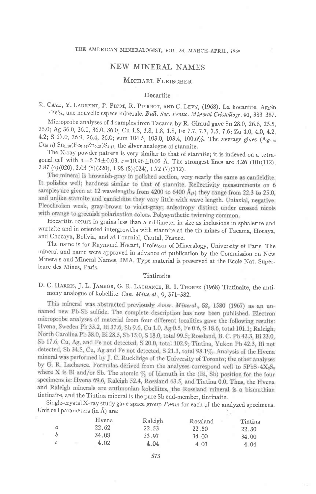# NEW MINERAL NAMES

## MICHAEL FLEISCHER

### **Hocartite**

R. CAYE, Y. LAURENT, P. PICOT, R. PIERROT, AND C. LEVY, (1968). La hocartite, Ag2Sn 'FeS<sub>4</sub>, une nouvelle espece minerale. Bull. Soc. Franc. Mineral Cristallogr. 91, 383-387.

Microprobe analyses of 4 samples from Tacama by R. Giraud gave Sn 28.0, 26.6, 25.5, 25.0; Ag 36.0, 36.0, 36.0, 36.0; Cu 1.8, 1.8, 1.8, 1.8, Fe 7.7, 7.7, 7.5, 7.6; Zu 4.0, 4.0, 4.2, 4.2; S 27.0, 26.9, 26.4, 26.0; sum 104.5, 103.0, 103.4, 100.6%. The average gives (Ag<sub>1.66</sub>  $Cu<sub>0.14</sub>$ ) Sn<sub>1.10</sub>(Fe<sub>0.67</sub>Zn<sub>0.31</sub>)S<sub>4.12</sub>, the silver analogue of stannite.

The X-ray powder pattern is very similar to that of stannite; it is indexed on a tetragonal cell with  $a=5.74\pm0.03$ ,  $c=10.96\pm0.05$  Å. The strongest lines are 3.26 (10)(112), 2.87 (4) (020), 2.03 (5) (220), 1.98 (8) (024), 1.72 (7) (312).<br>The mineral is brownish-gray in polished section, very nearly the same as canfieldite.

It polishes well; hardness similar to that of stannite. Reflectivity measurements on 6 samples are given at 12 wavelengths from 4200 to 6400  $\AA$  $\mu$ ; they range from 22.3 to 25.0, and unlike stannite and canfieldite they vary little with wave length. Uniaxial, negative. Pleochroism weak, gray-brown to violet-gray; anisotropy distinct under crossed nicols with orange to greenish polarization colors. Polysynthetic twinning common.

Hocartite occurs in grains less than a millimeter in size as inclusions in sphalerite anc wurtzite and in oriented intergrowths with stannite at the tin mines of Tacama, Hocaya, and Chocaya, Bolivia, and at Fournial, Cantal, France.

The name is for Raymond Hocart, Professor of Mineralogy, University of Paris. The mineral and name were approved in advance of publication by the Commission on New Minerals and Mineral Names, IMA. Type material is preserved at the Ecole Nat. Superieure des Mines, Paris.

#### Tintinaite

# D. C. HARRIS, J. L. JAMBOR, G. R. LACHANCE, R. I. THORPE (1968) Tintinaite, the antimony analogue of kobellite. Can. Mineral., 9, 371-382.

This mineral was abstracted previously Amer. Mineral., 52, 1580 (1967) as an unnamed new Pb-Sb sulfide. The complete description has now been published. Electron microprobe analyses of material from four different localities gave the following results: Hvena, Sweden Pb 33.2, Bi 37.6, Sb 9.6, Cu 1.0, Ag 0.5, Fe 0.6, S 18.6, total 101.1; Raleigh, North Carolina Pb 38.0, Bi 28.5, Sb 15.0, S 18.0, total 99.5; Rossland, B. C. Pb 42.3, Bi 23.0, Sb 17.6, Cu, Ag, and Fe not detected, S 20.0, total 102.9; Tintina, Yukon Pb 42.3, Bi not detected, Sb 34.5, Cu, Ag and Fe not detected, S 21.3, total 98.1%. Analysis of the Hvena mineral was performed by J. C. Rucklidge of the University of Toronto; the other analyses by G. R. Lachance. Formulas derived from the analyses correspond well to  $5PbS-4X_2S_3$ where X is Bi and/or Sb. The atomic  $\%$  of bismuth in the (Bi, Sb) position for the four specimens is: Hvena 69.6, Raleigh 52.4, Rossland 43.5, and Tintina 0.0. Thus, the Hvena and Raleigh minerals are antimonian kobellites, the Rossland mineral is a bismuthian tintinaite, and the Tintina mineral is the pure Sb end-member, tintinaite.

Single-crystal X-ray study gave space group  $Pnnm$  for each of the analyzed specimens. Unit cell parameters (in  $\AA$ ) are:

|                  | Hvena                | Raleigh | Rossland | Tintina |
|------------------|----------------------|---------|----------|---------|
| $\boldsymbol{a}$ | 22.62                | 22.53   | 22.50    | 22.30   |
|                  | 34.08                | 33.97   | 34.00    | 34.00   |
| $\mathcal C$     | 4.02<br><b>STATE</b> | 4.04    | 4.03     | 4.04    |

573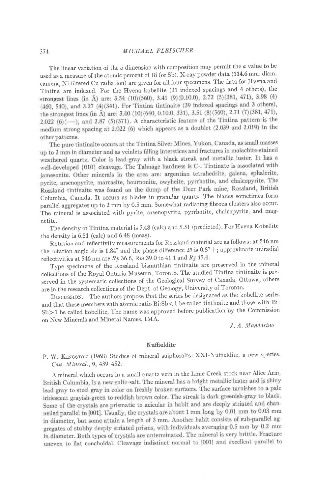The linear variation of the  $a$  dimension with composition may permit the  $a$  value to be used as a measure of the atomic percent of Bi (or sb). x-ray powder data (114.6 mm. diam. camera, Ni-fiItered cu radiation) are given for all four specimens. The data for Hvena and Tintina are indexed. For the Hvena kobellite  $(31 \text{ indexed spacings and } 4 \text{ others})$ , the strongest lines  $(\text{in } \text{Å})$  are: 3.54  $(10)(560)$ , 3.41  $(9)(0.10.0)$ , 2.72  $(5)(381, 471)$ , 3.98  $(4)$  $(460, 540)$ , and 3.27  $(4)(341)$ . For Tintina tintinaite  $(39 \text{ indexed spacings and } 3 \text{ others})$ , the strongest lines (in Å) are: 3.40 (10) (640, 0.10.0, 331), 3.51 (8) (560), 2.71 (7) (381, 471), 2.022 (6)(--), and 2.87 (5)(371). A characteristic feature of the Tintina pattern is the medium strong spacing at 2.022 (6) which appears as a doublet (2.039 and 2.019) in the other patterns.

The pure tintinaite occurs at the Tintina Silver Mines, Yukon, Canada, as small masses up to 2 mm in diameter and as veinlets filling interstices and fractures in malachite-stained weathered quartz. Color is lead-gray with a black streak and metallic luster. It has a well-developed [010] cleavage. The Talmage hardness is C-. Tintinate is associated with jamesonite. Other minerals in the area are: argentian tetrahedrite, galena, sphalerite, pyrite, arsenopyrite, marcasite, bournonite, owyheite, pyrrhotite, and chalcopyrite. The Rossland tintinaite was found on the dump of the Deer Park mine, Rossland, British columbia, canada. It occurs as blades in granular quartz. The blades sometimes form parallel aggregates up to 2 mm by 0.5 mm. Somewhat radiating fibrous clusters also occur. The mineral is associated with pyrite, arsenopyrite, pyrrhotite, chalcopyrite, and magnetite.

The density of Tintina material is 5.48 (calc) and 5.51 (predicted). For Hvena Kobellite the density is 6.51 (calc) and 6.48 (meas).

Rotation and reflectivity measurements for Rossland material are as follows: at 546 nm the rotation angle  $Ar$  is 1.84° and the phase difference 2 $\theta$  is 0.8° +; approximate uniradial reflectivities at 546 nm are  $Rp$  36.6, Rm 39.0 to 41.1 and  $Rg$  45.4.

Type specimens of the Rossland bismuthian tintinaite are preserved in the mineral collections of the Royal Ontario Museum, Toronto. The studied Tintina tintinaite is preserved in the systematic collections of the Geological Survey of Canada, Ottawa; others are in the research collections of the Dept. of Geology, University of Toronto.

Drscussrox.-The authors propose that the series be designated as the kobellite series and that those members with atomic ratio Bi:Sb<1 be called tintinaite and those with Bi: Sb>1 be called kobellite. The name was approved before publication by the Commission on New Minerals and Mineral Names, IMA.

J. A. Mandarino

### Nuffieldite

P. W. KINGSTON (1968) Studies of mineral sulphosalts: XXI-Nuffieldite, a new species. Can. Mineral., 9, 439-452

A mineral which occurs in a small quartz vein in the Lime creek stock near Alice Arm,lead-gray to steel gray in color on freshly broken surfaces. The surface tarnishes to a pale iridescent grayish-green to reddish brown color. The streak is dark greenish-gray to black. Some of the crystals are prismatic to acicular in habit and are deeply striated and channelled parallel to [001]. Usually, the crystals are about 1 mm long by 0.01 mm to 0.03 mm in diameter, but some attain a length of 3 mm. Another habit consists of sub-parallel aggregates of stubby deeply striated prisms, with individuals averaging 0.5 mm by 0.2 mm in diameter. Both types of crystals are unterminated. The mineral is very brittle. Fracture uneven to flat conchoidal. Cleavage indistinct normal to [001] and excellent parallel to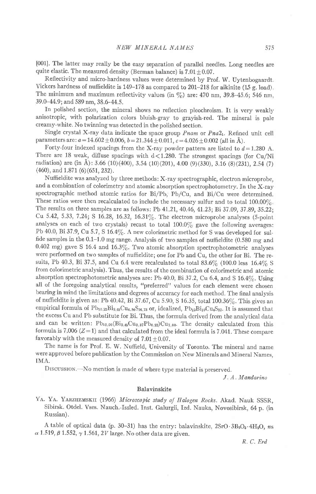[001]. The latter may really be the easy separation of parallel needles. Long needles are quite elastic. The measured density (Berman balance) is  $7.01 \pm 0.07$ .

Reflectivity and micro-hardness values were determined by prof. W. Uytenbogaardt Vickers hardness of nuffieldite is 149-178 as compared to 201-218 for aikinite (15 g. load). The minimum and maximum reflectivity values (in  $\%$ ) are: 470 nm, 39.8-45.6; 546 nm, 39.0-M.9; and 589 nm, 38.6-44.5.

In polished section, the mineral shows no reflection pleochroism. It is very weakly anisotropic, with polarization colors bluish-gray to grayish-red. The mineral is palecreamy-white. No twinning was detected in the polished section.

Single crystal X-ray data indicate the space group  $Pnam$  or  $Pna2_1$ . Refined unit cell parameters are:  $a = 14.602 \pm 0.006$ ,  $b = 21.344 \pm 0.011$ ,  $c = 4.026 \pm 0.002$  (all in Å).

Forty-four indexed spacings from the X-ray powder pattern are listed to  $d=1.280$  A. There are 18 weak, diffuse spacings with  $d$ <1.280. The strongest spacings (for Cu/Ni radiation) are (in A): 3.66 (10)(400), 3.S4 (10)(201), 4.00 (9)(330), 3.16 (8)(231), 2.54 (7) (460), and 1.871 (6)(651, 232).

Nuffieldite was analyzed by three methods: X-ray spectrographic, electron microprobe, and a combination of colorimetry and atomic absorption spectrophotometry. In the X-ray spectrographic method atomic ratios for Bi/Pb, Pb/Cu, and Bi/Cu were determined. These ratios were then recalculated to include the necessary sulfur and to total  $100.00\%$ The results on three samples are as follows: Pb 41.21, 40.46, 41.23; Bi 37.09, 37.89, 35.22; Cu 5.42, 5.33, 7.24; S 16.28, 16.32, 16.31%. The electron microprobe analyses (5-point analyses on each of two crystals) recast to total  $100.0\%$  gave the following averages: Pb 40.0, Bi 37.9, Cu 5.7, S 16.4%. A new colorimetric method for S was developed for sulfide samples in the 0.1-1.0 mg range. Analysis of two samples of nuffieldite (0.580 mg and 0.402 mg) gave S 16.4 and 16.3%. Two atomic absorption spectrophotometric analyses were performed on two samples of nuffieldite; one for Pb and Cu, the other for Bi. The results, Pb 40.3, Bi 37.5, and Cu 6.4 were recalculated to total 83.6% (100.0 less  $16.4\%$  S from colorimetric analysis). Thus, tbe results of the combination of colorimetric and atomic absorption spectrophotometric analyses are: Pb 40.0, Bi 37.2, Cu 6.4, and S 16.4%. Using all of the foregoing analytical results, "preferred" values for each element were chosen bearing in mind the limitations and degrees of accuracy for each method. The final analysis of nuffieldite is given as: Pb 40.42, Bi 37.67, Cu 5.90, S 16.35, total 100.36%. This gives an empirical formula of  $Pb_{10,22}Bi_{9,45}Cu_{4,86}S_{26,73}$  or, idealized,  $Pb_{10}Bi_{10}Cu_{4}S_{27}$ . It is assumed that the excess cu and Pb substitute for Bi. Thus, the formula derived from the analytical data and can be written:  $Pb_{10,00}(Bi_{9,45}Cu_{0,87}Pb_{0,22})Cu_{7,00}$ . The density calculated from this formula is 7.006  $(Z=1)$  and that calculated from the ideal formula is 7.041. These compare favorably with the measured density of  $7.01 \pm 0.07$ .

The name is for Prof. E. W. Nuffield, University of Toronto. The mineral and name were approved before publication by the Commission on New Minerals and Mineral Names, IMA.

DISCUSSION.-No mention is made of where type material is preserved.

J. A. Mandarino

#### Balavinskite

YA. YA. YARZHEMSKII (1966) Microscopic study of Halogen Rocks. Akad. Nauk SSSR, Sibirsk. Otdel. Vses. Nauch.-Issled. Inst. Galurgii, Izd. Nauka, Novosibirsk, 64 p. (in Russian).

A table of optical data (p. 30-31) has the entry: balavinskite,  $2SrO·3B<sub>2</sub>O<sub>3</sub>·4H<sub>2</sub>O$ , ns  $\alpha$  1.519,  $\beta$  1.552,  $\gamma$  1.561, 2V large. No other data are given.

R. C. Erd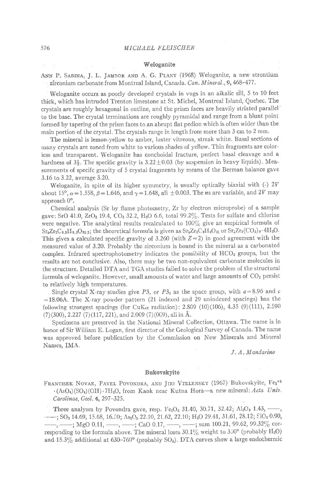### Weloganite

ANN P. SABINA, J. L. JAMBOR AND A. G. PLANT (1968) Weloganite, a new strontium zirconium carbonate from Montreal Island, Canada. Can. Mineral., 9, 468-477.

Weloganite occurs as poorly developed crystais in vugs in an alkalic sill, 5 to 10 feet thick, which has intruded Trenton limestone at St. Michel, Montreal Island, Quebec. The crystals are roughly hexagonal in outline, and the prism faces are heavily striated parallel to the base. The crystal terminations are roughly pyramidal and range from a blunt point formed by tapering of the prism faces to an abrupt flat pedion which is often wider than the main portion of the crystal. The crystals range in length from more than 3 cm to 2 mm.

The mineral is lemon-yellow to amber, luster vitreous, streak white. Basal sections of many crystals are zoned from white to various shades of yellow. Thin fragments are colorless and transparent. Weloganite has conchoidal fracture, perfect basal cleavage and a hardness of  $3\frac{1}{2}$ . The specific gravity is  $3.22 \pm 0.03$  (by suspension in heavy liquids). Measurements of specifc gravity of 5 crystal fragments by means of the Berman balance gave 3.16 to 3.22, average 3.20.

Weloganite, in spite of its higher symmetry, is usually optically biaxial with  $\langle \cdot \rangle 2V$ about 15°,  $\alpha$  = 1.558,  $\beta$  = 1.646, and  $\gamma$  = 1.648, all  $\pm$  0.003. The *n*s are variable, and 2V may approach 0°.

Chemical analysis (Sr by flame photometry, Zr by electron microprobe) of a sample gave: SrO 41.0, ZrO<sub>2</sub> 19.4, CO<sub>2</sub> 32.2, H<sub>2</sub>O 6.6, total 99.2 $\%$ . Tests for sulfate and chlorine were negative. The analytical results recalculated to  $100\%$  give an empirical formula of  $Sr_5Zr_2C_{9.3}H_{9.3}O_{32.2}$ ; the theoretical formula is given as  $Sr_5Zr_2C_9H_8O_{31}$  or  $Sr_5Zr_2(CO_3)_9 \cdot 4H_2O$ . This gives a calculated specific gravity of 3.260 (with  $Z=2$ ) in good agreement with the measured value of 3.20. Probably the zirconium is bound in the mineral as a carbonated complex. Infrared spectrophotometry indicates the possibility of  $HCO<sub>3</sub>$  groups, but the results are not conclusive. Also, there may be two non-equivalent carbonate molecules in the structure. Detailed DTA and TGA studies failed to solve the problem of the structural formula of weloganite. However, small amounts of water and large amounts of  $CO<sub>2</sub>$  persist to relatively high temperatures.

Single crystal X-ray studies give P3, or P3<sub>2</sub> as the space group, with  $a=8.96$  and c  $=18.06$ A. The X-ray powder pattern (21 indexed and 29 unindexed spacings) has the following strongest spacings (for CuK $\alpha$  radiation): 2.809 (10)(106), 4.35 (9)(111), 2.590  $(7)(300)$ , 2.227  $(7)(117, 221)$ , and 2.009  $(7)(009)$ , all in Å.

Specimens are preserved in the National Mineral Collection, Ottawa. The name is in honor of Sir William E. Logan, first director of the Geological Survey of Canada. The name was approved before publication by the Commission on New Minerals and Mineral Names, IMA.

J.A. Mandarino

# Bukovskyite

FRANTISEK NOVAK, PAVEL POVONDRA, AND JIRI VTELENSKY (1967) Bukovskyite, Fe<sub>2</sub>+3  $\cdot$ (AsO<sub>4</sub>)(SO<sub>4</sub>)(OH) $\cdot$ 7H<sub>2</sub>O, from Kank near Kutna Hora-a new mineral: Acta Univ. Carolinae, Geol. 4, 297-325.

Three analyses by Povondra gave, resp.  $Fe_2O_3$  31.40, 30.71, 32.42; Al<sub>2</sub>O<sub>3</sub> 1.43, -- $-$ ; SO<sub>3</sub> 14.69, 15.68, 16.50; As<sub>2</sub>O<sub>5</sub> 22.10, 21.62, 22.10; H<sub>2</sub>O 29.41, 31.61, 28.12; SiO<sub>2</sub> 0.90,  $t_{\text{t}}$ ,  $\text{t}_{\text{t}}$ ,  $\text{mgO } 0.11, \text{t}_{\text{t}}$ ,  $\text{t}_{\text{t}}$  CaO 0.17;  $\text{t}_{\text{t}}$ ,  $\text{t}_{\text{t}}$  sum 100.21, 99.62, 99.32% corresponding to the formula above. The mineral loses  $30.1\%$  weight to  $350^{\circ}$  (probably H<sub>2</sub>O) and,  $15.3\%$  additional at 630-760<sup>o</sup> (probably SO<sub>3</sub>). DTA curves show a large endothermic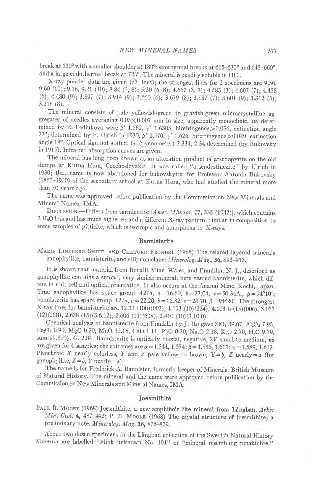break at 130° with a smaller shoulder at 180°; exothermal breaks at 615-630° and 645-660°, and a large endothermal break at  $72\degree$ . The mineral is readily soluble in HCl.

X-ray powder data are given (57 lines); the strongest lines for 2 specimens are 9.56, 9.60 (10); 9.16, 9.21 (10); 8.84 (5, 8); 5.30 (6, 8); 4.667 (3, 7); 4.583 (3); 4.607 (7); 4.458  $(6)$ ; 4.480  $(9)$ ; 3.897  $(7)$ ; 3.914  $(9)$ ; 3.660  $(6)$ ; 3.679  $(8)$ ; 3.587  $(7)$ ; 3.601  $(9)$ ; 3.312  $(5)$ ; 3.318 (8).

The mineral consists of pale yellowish-green to grayish-green microcrystalline aggregates of needles averaging  $0.05 \times 0.007$  mm in size, apparently monoclinic. ns determined by E. Fediukova were  $\beta'$  1.582,  $\gamma'$  1.6305, birefringence > 0.056, extinction angle 22°; determined by F. Ulrich in 1930,  $\beta'$  1.570,  $\gamma'$  1.626, birefringence > 0.049, extinction angle 18°. Optical sign not stated. G. (pycnometer) 2.334, 2.34 determined (by Bukovsky in 1915). Infra-red absorption curves are given.

The mineral has long been known as an alteration product of arsenopyrite on the old dumps at Kutna Hora, Czechoslovakia. It was called "arsendestinezite" by Ulrich in 1930; that name is now abandoned for bukovskyite, for professor Antonin Bukovsky (1865-19:0) of the secondary school at Kutna Hora, who had studied the mineral more than 50 years ago.

The name was approved before publication by the Commission on New Minerals and Mineral Names, IMA.

DISCUSSION.--Differs from sarmientite [Amer. Mineral. 27, 333 (1942)], which contains  $2 H_{2}O$  less and has much higher ns and a different X-ray pattern. Similar in composition to some samples of pitticite, which is isotropic and amorphous to X\_rays.

# Bannisterite

MARIE LINDBERG SMITH, AND CLIFFORD FRONDEL (1968) The related layered minerals ganophyllite, bannisterite, and stilpnomelane: Mineralog. Mag., 36, 893-913.

It is shown that material from Benallt Mine, Wales, and Franklin, N. J., described as ganophyllite contains a second, very similar mineral, here named bannisterite, which differs in unit cell and optical orientation. It also occurs at the Ananai Mine, Kochi, Japan. True ganophyllite has space group  $A2/a$ ,  $a=16.60$ ,  $b=27.04$ ,  $c=50.34A$ .,  $\beta=94^{\circ}10'$ ; bannisterite has space group  $A2/a$ ,  $a=22.20$ ,  $b=16.32$ ,  $c=24.70$ ,  $\beta=94^{\circ}20'$ . The strongest X-ray lines for bannisterite are 12.33 (100)(002), 4.593 (10)(224), 4.103 b (15)(006), 3.077  $(12)(20\overline{8})$ ,  $2.638(15)(3.6.12)$ ,  $2.606(11)(60\overline{8})$ ,  $2.410(10)(3.10.0)$ .

Chemical analysis of bannisterite from Franklin by J. Ito gave  $SiO<sub>2</sub>$  39.67,  $Al<sub>2</sub>O<sub>8</sub>$  7.95,  $Fe<sub>2</sub>O<sub>3</sub>$  0.90, MgO 0.20, MnO 35.15, CaO 1.11, PbO 0.20, Na<sub>2</sub>O 2.18, K<sub>2</sub>O 2.70, H<sub>2</sub>O 9.79, sum 99.85%. G. 2.84. Bannisterite is optically biaxial, negative,  $2V$  small to medium, ns are given for 4 samples; the extremes are  $\alpha$  = 1.544, 1.574;  $\beta$  = 1.586, 1.611;  $\gamma$  = 1.589, 1.612. Pleochroic X nearly colorless, Y and Z pale yellow to brown,  $Y=b$ , Z nearly=a (for ganophyllite,  $Z = b$ , Y nearly = a).

The name is for Frederick A. Bannister, formerly keeper of Minerals, British Museum of Natural History. The mineral and the name'were approved before publication by the Commission on New Minerals and Mineral Names, IMA.

### Joesmithite

PAUL B. MOORE (1968) Joesmithite, a new amphibole-like mineral from Långban. Arkiv Min. Geol. 4, 487-492; P. B. MOORE (1968) The crystal structure of joesmithite; a preliminary note. Mineralog. Mag. 36, 876-879.

About two dozen specimens in the Långban collection of the Swedish Natural History Museum are labelled "Flink unknown No. 101" or "mineral resembling pinakiolite."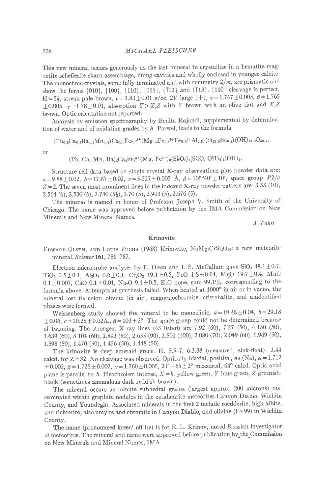This new mineral occurs generously as the last mineral to crystallize in a hematite-magnetite-schefferite skarn assemblage, lining cavities and wholly enclosed in younger calcite. The monoclinic crystals, some fully terminated and with symmetry  $2/m$ , are prismatic and show the forms {010}, {100}, {110}, {011}, [T12] and {1131. {110} cleavage is perfect,  $H=5\frac{1}{2}$ , streak pale brown,  $\rho=3.83\pm0.01$  g/cc. 2V large (+),  $\alpha=1.747\pm0.005$ ,  $\beta=1.765$  $\pm 0.005$ ,  $\gamma=1.78\pm0.01$ , absorption  $Y>X,Z$  with Y brown with an olive tint and X,Z brown. Optic orientation not reported.

Analysis by emission spectrography by Benita Rajandi, supplemented by determina tion of water and of oxidation grades by A. Parwel, leads to the formula

 $({\rm Pb}_{0.6}{\rm Ca}_{0.6}{\rm Ba}_{0.1}{\rm Mn}_{0.8})Ca_{4.0}{\rm Fe}_{2.0}{}^{3+}({\rm Mg}_{6.3}{\rm Fe}_{1.4}{}^{3+}{\rm Fe}_{0.8}{}^{2+}{\rm Al}_{0.3})(\rm Si_{13.8}{\rm Be}_{0.1})(\rm OH)_{14.9}{\rm O}_{39.7},$ 

or

 $(Pb, Ca, Mn, Ba)<sub>2</sub>Ca<sub>4</sub>Fe<sub>2</sub><sup>3+</sup>(Mg, Fe<sup>2+</sup>)<sub>8</sub>(Si<sub>2</sub>O<sub>6</sub>)<sub>4</sub>[Si(O, OH)<sub>4</sub>]<sub>4</sub>(OH)<sub>8</sub>.$ 

structure cell data based on single crystal X-ray observations plus powder data are:  $a=9.88\pm0.02$ ,  $b=17.87\pm0.02$ ,  $c=5.227\pm0.005$  Å,  $\beta=105^{\circ}40'\pm10'$ , space group  $P2/a$  $Z=2$ . The seven most prominent lines in the indexed X-ray powder pattern are: 3.33 (10),  $2.564$  (6),  $2.530$  (6),  $2.740$  ( $5\frac{1}{2}$ ),  $3.70$  (5),  $2.903$  (5),  $2.676$  (5).

The mineral is named in honor of Professor Joseph V. Smith of the University of Chicago. The name was approved before publictaion by the IMA Commission on Neu' Minerals and New Mineral Names.

A. Pobsl

### Krinovite

EDWARD OLSEN, AND LOUIS FUCHS (1968) Krinovite, NaMg<sub>2</sub>CrSi<sub>3</sub>O<sub>10</sub>: a new meteorite mineral. Science 161, 786-787.

Electron microprobe analyses by E. Olsen and I. S. McCallum gave  $SiO<sub>2</sub> 48.1 \pm 0.7$ , TiO<sub>2</sub>  $0.5\pm0.1$ , Al<sub>2</sub>O<sub>3</sub>  $0.6\pm0.1$ , Cr<sub>2</sub>O<sub>3</sub> 19.1 $\pm0.5$ , FeO 1.8 $\pm0.04$ , MgO 19.7 $\pm0.4$ , MnO 0.1 $\pm$ 0.007, CaO 0.1 $\pm$ 0.01, Na<sub>2</sub>O 9.1 $\pm$ 0.5, K<sub>2</sub>O none, sum 99.1%, corresponding to the formula above. Attempts at synthesis failed. when heated at 1000' in air or in vacuo, the mineral lost its color; olivine (in air), magnesiochromite, cristobalite, and unidentified phases were formed.

Weissenberg study showed the mineral to be monoclinic,  $a=19.48\pm0.04$ ,  $b=29.18$  $\pm 0.06$ ,  $c = 10.25 \pm 0.02$ A.,  $\beta = 103 \pm 2^{\circ}$ . The space group could not be determined because of twinning. The strongest X-ray lines (43 listed) are 7.92 (60), 7.27 (50), 4.130 (50), 3.639 (60), 3.104 (60), 2.893 (80), 2.655 (90), 2.501 (100), 2.080 (70), 2.049 (60), 1.969 (50), 1.598 (50), 1.470 (50), 1.456 (s0), 1.448 (50).

The krinovite is deep emerald green. H. 5.5-7, 6.3.38 (measured, sink-float), 3.44 calcd. for Z=32. No cleavage was observed. Optically biaxial, positive, ns (Na),  $\alpha$ =1.712  $\pm 0.002$ ,  $\beta = 1.725 \pm 0.002$ ,  $\gamma = 1.760 \pm 0.005$ ,  $2V = 61 \pm 2^{\circ}$  measured, 64° calcd. Optic axial plane is parallel to b. Pleochroism intense,  $X=b$ , yellow green, Y blue-green, Z greenishbiack (sometimes anomalous dark reddish-brown).

The mineral occurs as minute subhedral grains (largest approx. 200 microns) dis seminated within graphite nodules in the octahedrite meteorites Canyon Diablo, Wichita County, and Youndegin. Associated minerals in the first 2 include roedderite, high albite, and richterite; also ureyite and chromite in Canyon Diablo, and olivine (Fo 99) in Wichita County.

The name (pronounced kreen'-off-ite) is for E. L. Krinov, noted Russian investigator of meteorites. The mineral and name were approved before publication by the Commission on New Minerals and Mineral Names, IMA.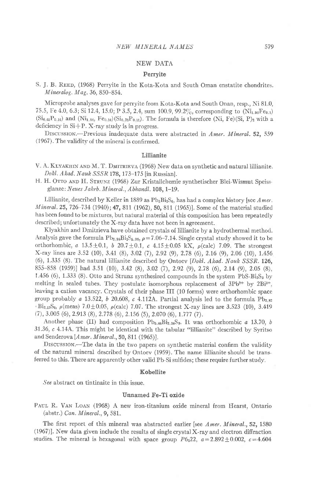### NEW DATA

### Perryite

S. J. B. REED, (1968) Perryite in the Kota-Kota and South Oman enstatite chondrites. Mineralog. Mag. 36, 850-854.

Microprobe analyses gave for perryite from Kota-Kota and South Onan, resp., Ni 81.0, 75.5, Fe 4.0, 6.3; Si 12.4, 15.0; P 3.5, 2.4, sum 100.9, 99.2%, corresponding to  $(Ni_{1.90}Fe_{0.1})$  $(\text{Si}_{6.61}\text{P}_{0.16})$  and  $(\text{Ni}_{1.84}, \text{Fe}_{0.16})(\text{Si}_{0.76}\text{P}_{0.11})$ . The formula is therefore (Ni, Fe)(Si, P)<sub>2</sub> with a deficiency in  $Si+P$ . X-ray study is in progress.

DISCUSSION.--Previous inadequate data were abstracted in Amer. Mineral. 52, 559 (1967). The validity of the mineral is confirmed.

#### Lillianite

V. A. KLYAKHIN AND M.T. DMITRIEVA (1968) New data on synthetic and natural lillianite. Dokl. Akad. Nauk SSSR 178, 173-175 [in Russian].

H. H. OTTO AND H. STRUNZ (1968) Zur Kristallchemie synthetischer Blei-Wismut Speissglanze: Neues Jahrb. Mineral., Abhandl. 108, 1-19.

Lillianite, described by Keller in 1889 as  $Pb_3B_3S_6$ , has had a complex history [see Amer. Mineral. 25, 726-734 (1940); 47, 811 (1962), 50, 811 (1965)]. Some of the material studied has been found to be mixtures, but natural material of this composition has been repeatedly described; unfortunately the X-ray data have not been in agreement.

Klyakhin and Dmitrieva have obtained crystals of lillianite by a hydrothermal method. Analysis gave the formula  $Pb_{2.98}Bi_2S_{6.98}$ ,  $\rho=7.06-7.14$ . Single crystal study showed it to be orthorhombic, a  $13.5 \pm 0.1$ , b  $20.7 \pm 0.1$ , c  $4.15 \pm 0.05$  kX,  $\rho$ (calc) 7.09. The strongest X-ray lines arc 3.52 (10), 3.41 (8), 3.02 (7), 2.92 (9), 2.78 (6), 2.L6 (9), 2.06 (10), 1.456  $(6)$ , 1.335  $(8)$ . The natural lillianite described by Ontoev [Dokl. Akod. Nouk SSSR. 126, 8s5-858 (1959)l had 3.51 (10), 3.42 (8), 3.02 (7), 292 (9), 2.78 (6), 2.14 (9), 2.05 (8), 1.456 (6), 1.333 (8). Otto and Strunz synthesized compounds in the system  $PbS-Bi_2S_3$  by melting in sealed tubes. They postulate isomorphous replacement of  $3Pb^{2+}$  by  $2Bi^{3+}$ , leaving a cation vacancy. Crystals of their phase III (10 forms) were orthorhombic space group probably  $a$  13.522,  $b$  20.608,  $c$  4.112A. Partial analysis led to the formula Pb<sub>2.82</sub>  $Bi_{2,12}S_6$ ,  $\rho$ (meas) 7.0 ± 0.05,  $\rho$ (calc) 7.07. The strongest X-ray lines are 3.523 (10), 3.419  $(7), 3.005 (6), 2.913 (8), 2.778 (6), 2.156 (5), 2.070 (6), 1.777 (7).$ 

Another phase (II) had composition  $Pb_{5.46}Bi_{2.36}S_9$ . It was orthorhombic a 13.70, b 31.36,  $c$  4.14A. This might be identical with the tabular "lillianite" described by Syritso and Senderova [ $A$ mer. Mineral., 50, 811 (1965)].

DISCUSSION.-The data in the two papers on synthetic material confirm the validity of the natural mineral described by Ontoev (1959). The name lillianite should be transferred to this. There are apparently other valid Pb-Si sulfides; these require further study.

### Kobellite

See abstract on tintinaite in this issue.

### Unnamed Fe-Ti oxide

PAUL R. VAN LOAN (1968) A new iron-titanium oxide mineral from Hearst, Ontario  $(abstract.)$  Can. Mineral., 9, 581.

The first report of this mineral was abstracted earlier [see Amer. Mineral., 52, 1580 (1967)]. New data given include the results of singlecrystalX-rayand electron difiraction studies. The mineral is hexagonal with space group  $P6<sub>3</sub>22$ ,  $a=2.892\pm0.002$ ,  $c=4.604$